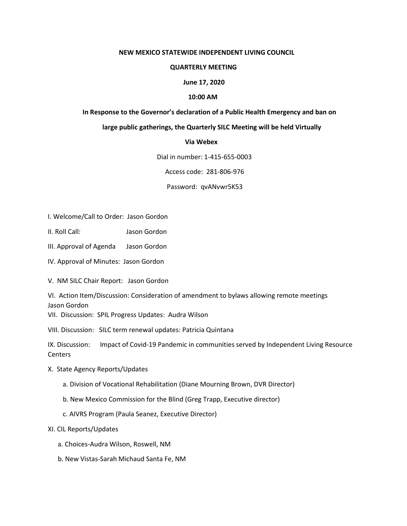## **NEW MEXICO STATEWIDE INDEPENDENT LIVING COUNCIL**

## **QUARTERLY MEETING**

## **June 17, 2020**

## **10:00 AM**

## **In Response to the Governor's declaration of a Public Health Emergency and ban on**

# **large public gatherings, the Quarterly SILC Meeting will be held Virtually**

## **Via Webex**

Dial in number: 1-415-655-0003

Access code: 281-806-976

Password: qvANvwr5K53

- I. Welcome/Call to Order: Jason Gordon
- II. Roll Call: Jason Gordon
- III. Approval of Agenda Jason Gordon
- IV. Approval of Minutes: Jason Gordon

V. NM SILC Chair Report: Jason Gordon

VI. Action Item/Discussion: Consideration of amendment to bylaws allowing remote meetings Jason Gordon

VII. Discussion: SPIL Progress Updates: Audra Wilson

VIII. Discussion: SILC term renewal updates: Patricia Quintana

IX. Discussion: Impact of Covid-19 Pandemic in communities served by Independent Living Resource **Centers** 

- X. State Agency Reports/Updates
	- a. Division of Vocational Rehabilitation (Diane Mourning Brown, DVR Director)
	- b. New Mexico Commission for the Blind (Greg Trapp, Executive director)
	- c. AIVRS Program (Paula Seanez, Executive Director)

# XI. CIL Reports/Updates

- a. Choices-Audra Wilson, Roswell, NM
- b. New Vistas-Sarah Michaud Santa Fe, NM